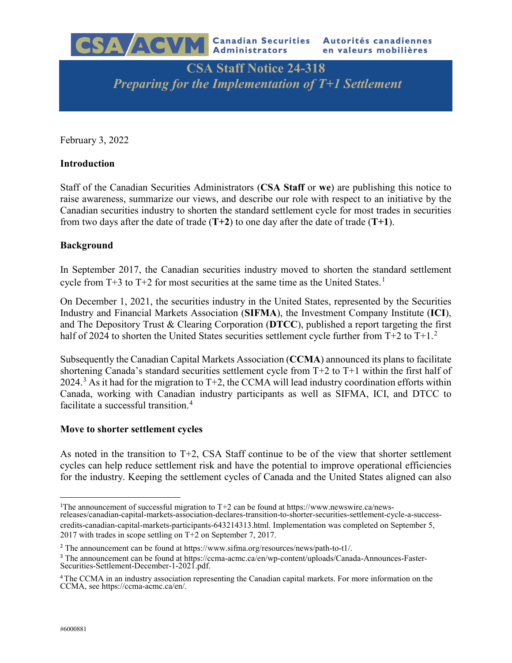

# **CSA Staff Notice 24-318** *Preparing for the Implementation of T+1 Settlement*

February 3, 2022

## **Introduction**

Staff of the Canadian Securities Administrators (**CSA Staff** or **we**) are publishing this notice to raise awareness, summarize our views, and describe our role with respect to an initiative by the Canadian securities industry to shorten the standard settlement cycle for most trades in securities from two days after the date of trade (**T+2**) to one day after the date of trade (**T+1**).

## **Background**

In September 2017, the Canadian securities industry moved to shorten the standard settlement cycle from  $T+3$  to  $T+2$  for most securities at the same time as the United States.<sup>[1](#page-0-0)</sup>

On December 1, 2021, the securities industry in the United States, represented by the Securities Industry and Financial Markets Association (**SIFMA**), the Investment Company Institute (**ICI**), and The Depository Trust & Clearing Corporation (**DTCC**), published a report targeting the first half of [2](#page-0-1)024 to shorten the United States securities settlement cycle further from  $T+2$  to  $T+1<sup>2</sup>$ .

Subsequently the Canadian Capital Markets Association (**CCMA**) announced its plans to facilitate shortening Canada's standard securities settlement cycle from T+2 to T+1 within the first half of  $2024<sup>3</sup>$  $2024<sup>3</sup>$  $2024<sup>3</sup>$  As it had for the migration to T+2, the CCMA will lead industry coordination efforts within Canada, working with Canadian industry participants as well as SIFMA, ICI, and DTCC to facilitate a successful transition.<sup>[4](#page-0-3)</sup>

#### **Move to shorter settlement cycles**

As noted in the transition to  $T+2$ , CSA Staff continue to be of the view that shorter settlement cycles can help reduce settlement risk and have the potential to improve operational efficiencies for the industry. Keeping the settlement cycles of Canada and the United States aligned can also

<span id="page-0-0"></span><sup>&</sup>lt;sup>1</sup>The announcement of successful migration to T+2 can be found at https://www.newswire.ca/newsreleases/canadian-capital-markets-association-declares-transition-to-shorter-securities-settlement-cycle-a-success-

credits-canadian-capital-markets-participants-643214313.html. Implementation was completed on September 5, 2017 with trades in scope settling on T+2 on September 7, 2017.

<span id="page-0-1"></span><sup>2</sup> The announcement can be found at https://www.sifma.org/resources/news/path-to-t1/.

<span id="page-0-2"></span><sup>3</sup> The announcement can be found at https://ccma-acmc.ca/en/wp-content/uploads/Canada-Announces-Faster-Securities-Settlement-December-1-2021.pdf.

<span id="page-0-3"></span><sup>&</sup>lt;sup>4</sup>The CCMA in an industry association representing the Canadian capital markets. For more information on the CCMA, see https://ccma-acmc.ca/en/.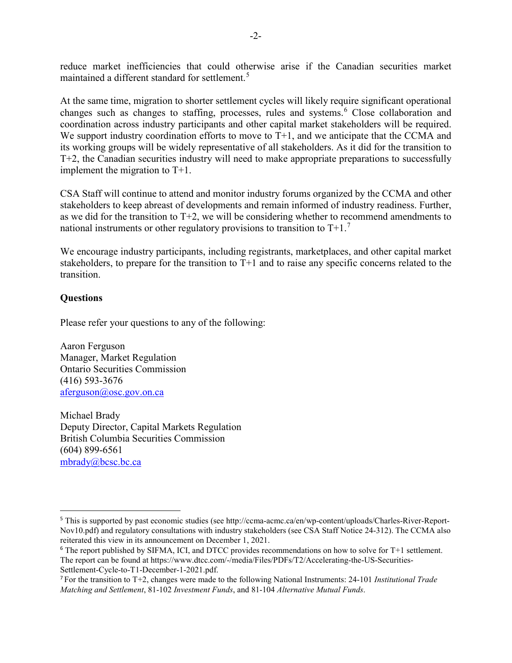reduce market inefficiencies that could otherwise arise if the Canadian securities market maintained a different standard for settlement.<sup>[5](#page-1-0)</sup>

At the same time, migration to shorter settlement cycles will likely require significant operational changes such as changes to staffing, processes, rules and systems.<sup>[6](#page-1-1)</sup> Close collaboration and coordination across industry participants and other capital market stakeholders will be required. We support industry coordination efforts to move to  $T+1$ , and we anticipate that the CCMA and its working groups will be widely representative of all stakeholders. As it did for the transition to T+2, the Canadian securities industry will need to make appropriate preparations to successfully implement the migration to T+1.

CSA Staff will continue to attend and monitor industry forums organized by the CCMA and other stakeholders to keep abreast of developments and remain informed of industry readiness. Further, as we did for the transition to T+2, we will be considering whether to recommend amendments to national instruments or other regulatory provisions to transition to  $T+1$ <sup>[7](#page-1-2)</sup>

We encourage industry participants, including registrants, marketplaces, and other capital market stakeholders, to prepare for the transition to T+1 and to raise any specific concerns related to the transition.

## **Questions**

Please refer your questions to any of the following:

Aaron Ferguson Manager, Market Regulation Ontario Securities Commission (416) 593-3676 [aferguson@osc.gov.on.ca](mailto:aferguson@osc.gov.on.ca)

Michael Brady Deputy Director, Capital Markets Regulation British Columbia Securities Commission (604) 899-6561 [mbrady@bcsc.bc.ca](mailto:mbrady@bcsc.bc.ca)

<span id="page-1-0"></span><sup>5</sup> This is supported by past economic studies (see http://ccma-acmc.ca/en/wp-content/uploads/Charles-River-Report-Nov10.pdf) and regulatory consultations with industry stakeholders (see CSA Staff Notice 24-312). The CCMA also reiterated this view in its announcement on December 1, 2021.

<span id="page-1-1"></span><sup>6</sup> The report published by SIFMA, ICI, and DTCC provides recommendations on how to solve for T+1 settlement. The report can be found at https://www.dtcc.com/-/media/Files/PDFs/T2/Accelerating-the-US-Securities-

<span id="page-1-2"></span>Settlement-Cycle-to-T1-December-1-2021.pdf.<br><sup>7</sup> For the transition to T+2, changes were made to the following National Instruments: 24-101 *Institutional Trade Matching and Settlement*, 81-102 *Investment Funds*, and 81-104 *Alternative Mutual Funds*.